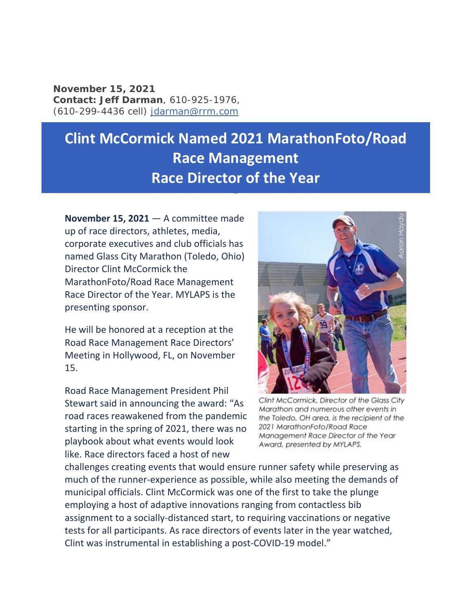**November 15, 2021 Contact:** *Jeff Darman*, 610-925-1976, (610-299-4436 cell) jdarman@rrm.com

## **Clint McCormick Named 2021 MarathonFoto/Road Race Management Race Director of the Year**

**November 15, 2021** — A committee made up of race directors, athletes, media, corporate executives and club officials has named Glass City Marathon (Toledo, Ohio) Director Clint McCormick the MarathonFoto/Road Race Management Race Director of the Year. MYLAPS is the presenting sponsor.

He will be honored at a reception at the Road Race Management Race Directors' Meeting in Hollywood, FL, on November 15.

Road Race Management President Phil Stewart said in announcing the award: "As road races reawakened from the pandemic starting in the spring of 2021, there was no playbook about what events would look like. Race directors faced a host of new



Clint McCormick, Director of the Glass City Marathon and numerous other events in the Toledo, OH area, is the recipient of the 2021 MarathonFoto/Road Race Management Race Director of the Year Award, presented by MYLAPS.

challenges creating events that would ensure runner safety while preserving as much of the runner‐experience as possible, while also meeting the demands of municipal officials. Clint McCormick was one of the first to take the plunge employing a host of adaptive innovations ranging from contactless bib assignment to a socially‐distanced start, to requiring vaccinations or negative tests for all participants. As race directors of events later in the year watched, Clint was instrumental in establishing a post‐COVID‐19 model."